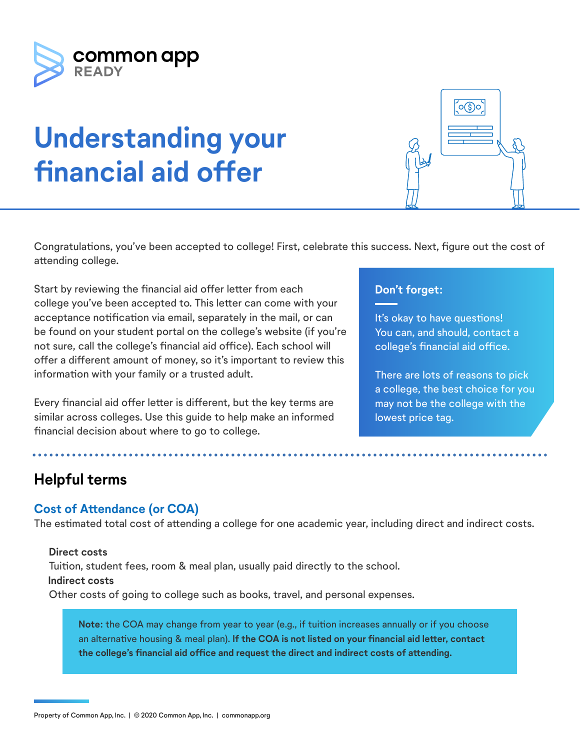

# **Understanding your financial aid offer**

Congratulations, you've been accepted to college! First, celebrate this success. Next, figure out the cost of attending college.

Start by reviewing the financial aid offer letter from each college you've been accepted to. This letter can come with your acceptance notification via email, separately in the mail, or can be found on your student portal on the college's website (if you're not sure, call the college's financial aid office). Each school will offer a different amount of money, so it's important to review this information with your family or a trusted adult.

Every financial aid offer letter is different, but the key terms are similar across colleges. Use this guide to help make an informed financial decision about where to go to college.

## **Don't forget:**

It's okay to have questions! You can, and should, contact a college's financial aid office.

 $\circ$  (\$)o

There are lots of reasons to pick a college, the best choice for you may not be the college with the lowest price tag.

# **Helpful terms**

## **Cost of Attendance (or COA)**

The estimated total cost of attending a college for one academic year, including direct and indirect costs.

#### **Direct costs** Tuition, student fees, room & meal plan, usually paid directly to the school.  **Indirect costs** Other costs of going to college such as books, travel, and personal expenses.

**Note:** the COA may change from year to year (e.g., if tuition increases annually or if you choose an alternative housing & meal plan). **If the COA is not listed on your financial aid letter, contact the college's financial aid office and request the direct and indirect costs of attending.**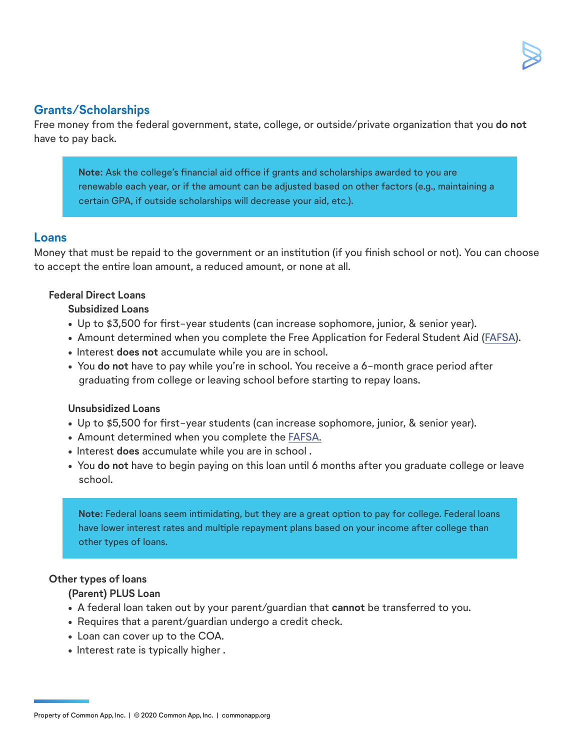### **Grants/Scholarships**

Free money from the federal government, state, college, or outside/private organization that you **do not**  have to pay back.

**Note:** Ask the college's financial aid office if grants and scholarships awarded to you are renewable each year, or if the amount can be adjusted based on other factors (e.g., maintaining a certain GPA, if outside scholarships will decrease your aid, etc.).

#### **Loans**

Money that must be repaid to the government or an institution (if you finish school or not). You can choose to accept the entire loan amount, a reduced amount, or none at all.

#### **Federal Direct Loans**

#### **Subsidized Loans**

- Up to \$3,500 for first-year students (can increase sophomore, junior, & senior year).
- Amount determined when you complete the Free Application for Federal Student Aid ([FAFSA](http://fafsa.gov/)).
- Interest **does not** accumulate while you are in school.
- You **do not** have to pay while you're in school. You receive a 6-month grace period after graduating from college or leaving school before starting to repay loans.

#### **Unsubsidized Loans**

- Up to \$5,500 for first-year students (can increase sophomore, junior, & senior year).
- Amount determined when you complete the [FAFSA.](http://fafsa.gov/)
- Interest **does** accumulate while you are in school .
- You **do not** have to begin paying on this loan until 6 months after you graduate college or leave school.

**Note:** Federal loans seem intimidating, but they are a great option to pay for college. Federal loans have lower interest rates and multiple repayment plans based on your income after college than other types of loans.

#### **Other types of loans**

#### **(Parent) PLUS Loan**

- A federal loan taken out by your parent/guardian that **cannot** be transferred to you.
- Requires that a parent/guardian undergo a credit check.
- Loan can cover up to the COA.
- Interest rate is typically higher .